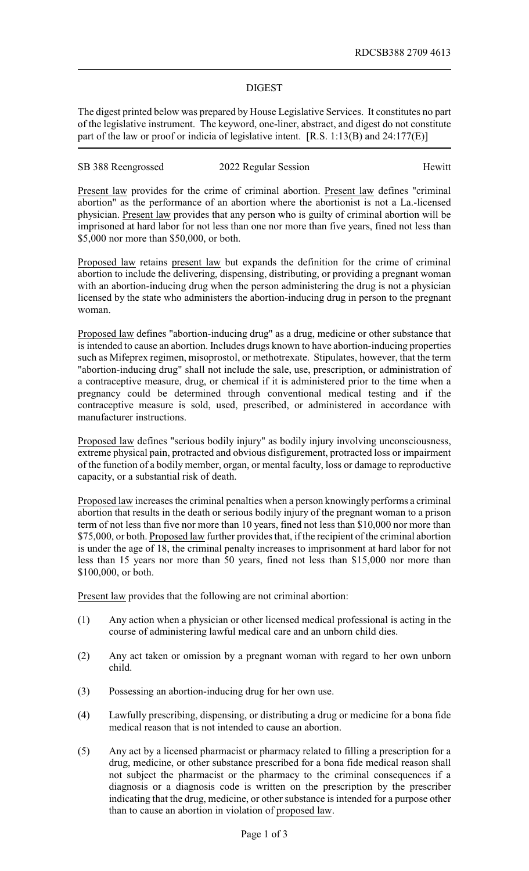## DIGEST

The digest printed below was prepared by House Legislative Services. It constitutes no part of the legislative instrument. The keyword, one-liner, abstract, and digest do not constitute part of the law or proof or indicia of legislative intent. [R.S. 1:13(B) and 24:177(E)]

| SB 388 Reengrossed | 2022 Regular Session | Hewitt |
|--------------------|----------------------|--------|
|--------------------|----------------------|--------|

Present law provides for the crime of criminal abortion. Present law defines "criminal abortion" as the performance of an abortion where the abortionist is not a La.-licensed physician. Present law provides that any person who is guilty of criminal abortion will be imprisoned at hard labor for not less than one nor more than five years, fined not less than \$5,000 nor more than \$50,000, or both.

Proposed law retains present law but expands the definition for the crime of criminal abortion to include the delivering, dispensing, distributing, or providing a pregnant woman with an abortion-inducing drug when the person administering the drug is not a physician licensed by the state who administers the abortion-inducing drug in person to the pregnant woman.

Proposed law defines "abortion-inducing drug" as a drug, medicine or other substance that is intended to cause an abortion. Includes drugs known to have abortion-inducing properties such as Mifeprex regimen, misoprostol, or methotrexate. Stipulates, however, that the term "abortion-inducing drug" shall not include the sale, use, prescription, or administration of a contraceptive measure, drug, or chemical if it is administered prior to the time when a pregnancy could be determined through conventional medical testing and if the contraceptive measure is sold, used, prescribed, or administered in accordance with manufacturer instructions.

Proposed law defines "serious bodily injury" as bodily injury involving unconsciousness, extreme physical pain, protracted and obvious disfigurement, protracted loss or impairment of the function of a bodily member, organ, or mental faculty, loss or damage to reproductive capacity, or a substantial risk of death.

Proposed law increases the criminal penalties when a person knowingly performs a criminal abortion that results in the death or serious bodily injury of the pregnant woman to a prison term of not less than five nor more than 10 years, fined not less than \$10,000 nor more than \$75,000, or both. Proposed law further provides that, if the recipient of the criminal abortion is under the age of 18, the criminal penalty increases to imprisonment at hard labor for not less than 15 years nor more than 50 years, fined not less than \$15,000 nor more than \$100,000, or both.

Present law provides that the following are not criminal abortion:

- (1) Any action when a physician or other licensed medical professional is acting in the course of administering lawful medical care and an unborn child dies.
- (2) Any act taken or omission by a pregnant woman with regard to her own unborn child.
- (3) Possessing an abortion-inducing drug for her own use.
- (4) Lawfully prescribing, dispensing, or distributing a drug or medicine for a bona fide medical reason that is not intended to cause an abortion.
- (5) Any act by a licensed pharmacist or pharmacy related to filling a prescription for a drug, medicine, or other substance prescribed for a bona fide medical reason shall not subject the pharmacist or the pharmacy to the criminal consequences if a diagnosis or a diagnosis code is written on the prescription by the prescriber indicating that the drug, medicine, or other substance is intended for a purpose other than to cause an abortion in violation of proposed law.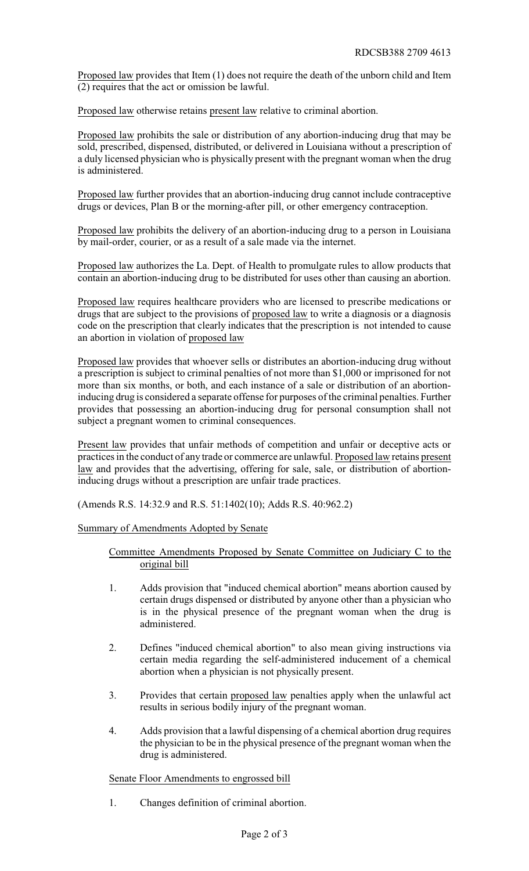Proposed law provides that Item (1) does not require the death of the unborn child and Item (2) requires that the act or omission be lawful.

Proposed law otherwise retains present law relative to criminal abortion.

Proposed law prohibits the sale or distribution of any abortion-inducing drug that may be sold, prescribed, dispensed, distributed, or delivered in Louisiana without a prescription of a duly licensed physician who is physically present with the pregnant woman when the drug is administered.

Proposed law further provides that an abortion-inducing drug cannot include contraceptive drugs or devices, Plan B or the morning-after pill, or other emergency contraception.

Proposed law prohibits the delivery of an abortion-inducing drug to a person in Louisiana by mail-order, courier, or as a result of a sale made via the internet.

Proposed law authorizes the La. Dept. of Health to promulgate rules to allow products that contain an abortion-inducing drug to be distributed for uses other than causing an abortion.

Proposed law requires healthcare providers who are licensed to prescribe medications or drugs that are subject to the provisions of proposed law to write a diagnosis or a diagnosis code on the prescription that clearly indicates that the prescription is not intended to cause an abortion in violation of proposed law

Proposed law provides that whoever sells or distributes an abortion-inducing drug without a prescription is subject to criminal penalties of not more than \$1,000 or imprisoned for not more than six months, or both, and each instance of a sale or distribution of an abortioninducing drug is considered a separate offense for purposes of the criminal penalties. Further provides that possessing an abortion-inducing drug for personal consumption shall not subject a pregnant women to criminal consequences.

Present law provides that unfair methods of competition and unfair or deceptive acts or practices in the conduct of any trade or commerce are unlawful. Proposed law retains present law and provides that the advertising, offering for sale, sale, or distribution of abortioninducing drugs without a prescription are unfair trade practices.

(Amends R.S. 14:32.9 and R.S. 51:1402(10); Adds R.S. 40:962.2)

Summary of Amendments Adopted by Senate

Committee Amendments Proposed by Senate Committee on Judiciary C to the original bill

- 1. Adds provision that "induced chemical abortion" means abortion caused by certain drugs dispensed or distributed by anyone other than a physician who is in the physical presence of the pregnant woman when the drug is administered.
- 2. Defines "induced chemical abortion" to also mean giving instructions via certain media regarding the self-administered inducement of a chemical abortion when a physician is not physically present.
- 3. Provides that certain proposed law penalties apply when the unlawful act results in serious bodily injury of the pregnant woman.
- 4. Adds provision that a lawful dispensing of a chemical abortion drug requires the physician to be in the physical presence of the pregnant woman when the drug is administered.

Senate Floor Amendments to engrossed bill

1. Changes definition of criminal abortion.